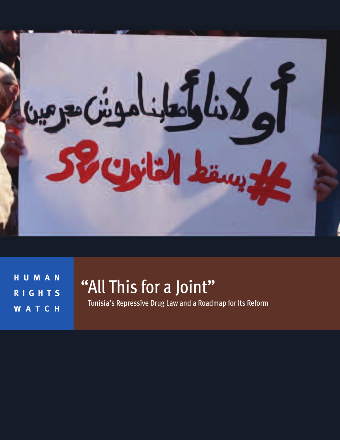

**H U M A N R I G H T S W A T C H**

# "All This for a Joint"

Tunisia's Repressive Drug Law and a Roadmap for Its Reform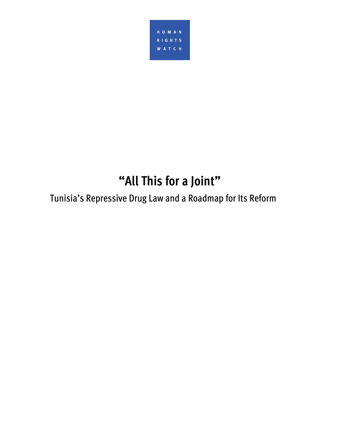

# **"All This for a Joint"**

Tunisia's Repressive Drug Law and a Roadmap for Its Reform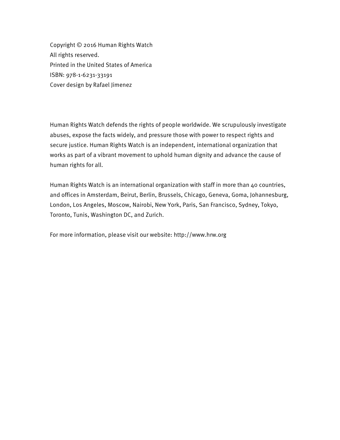Copyright © 2016 Human Rights Watch All rights reserved. Printed in the United States of America ISBN: 978-1-6231-33191 Cover design by Rafael Jimenez

Human Rights Watch defends the rights of people worldwide. We scrupulously investigate abuses, expose the facts widely, and pressure those with power to respect rights and secure justice. Human Rights Watch is an independent, international organization that works as part of a vibrant movement to uphold human dignity and advance the cause of human rights for all.

Human Rights Watch is an international organization with staff in more than 40 countries, and offices in Amsterdam, Beirut, Berlin, Brussels, Chicago, Geneva, Goma, Johannesburg, London, Los Angeles, Moscow, Nairobi, New York, Paris, San Francisco, Sydney, Tokyo, Toronto, Tunis, Washington DC, and Zurich.

For more information, please visit our website: http://www.hrw.org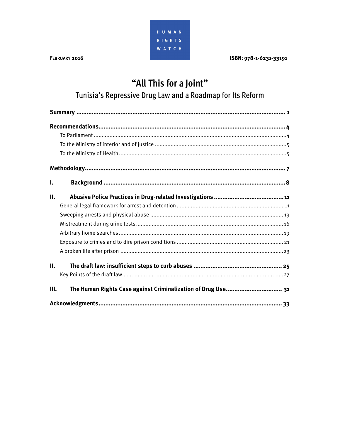

## "All This for a Joint"

## Tunisia's Repressive Drug Law and a Roadmap for Its Reform

| ı. |                                                              |
|----|--------------------------------------------------------------|
| Н. |                                                              |
|    |                                                              |
|    |                                                              |
|    |                                                              |
|    |                                                              |
|    |                                                              |
|    |                                                              |
| П. |                                                              |
|    |                                                              |
| Ш. | The Human Rights Case against Criminalization of Drug Use 31 |
|    |                                                              |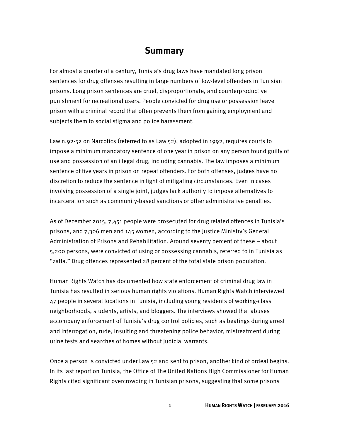#### **Summary**

For almost a quarter of a century, Tunisia's drug laws have mandated long prison sentences for drug offenses resulting in large numbers of low-level offenders in Tunisian prisons. Long prison sentences are cruel, disproportionate, and counterproductive punishment for recreational users. People convicted for drug use or possession leave prison with a criminal record that often prevents them from gaining employment and subjects them to social stigma and police harassment.

Law n.92-52 on Narcotics (referred to as Law 52), adopted in 1992, requires courts to impose a minimum mandatory sentence of one year in prison on any person found guilty of use and possession of an illegal drug, including cannabis. The law imposes a minimum sentence of five years in prison on repeat offenders. For both offenses, judges have no discretion to reduce the sentence in light of mitigating circumstances. Even in cases involving possession of a single joint, judges lack authority to impose alternatives to incarceration such as community-based sanctions or other administrative penalties.

As of December 2015, 7,451 people were prosecuted for drug related offences in Tunisia's prisons, and 7,306 men and 145 women, according to the Justice Ministry's General Administration of Prisons and Rehabilitation. Around seventy percent of these – about 5,200 persons, were convicted of using or possessing cannabis, referred to in Tunisia as "zatla." Drug offences represented 28 percent of the total state prison population.

Human Rights Watch has documented how state enforcement of criminal drug law in Tunisia has resulted in serious human rights violations. Human Rights Watch interviewed 47 people in several locations in Tunisia, including young residents of working-class neighborhoods, students, artists, and bloggers. The interviews showed that abuses accompany enforcement of Tunisia's drug control policies, such as beatings during arrest and interrogation, rude, insulting and threatening police behavior, mistreatment during urine tests and searches of homes without judicial warrants.

Once a person is convicted under Law 52 and sent to prison, another kind of ordeal begins. In its last report on Tunisia, the Office of The United Nations High Commissioner for Human Rights cited significant overcrowding in Tunisian prisons, suggesting that some prisons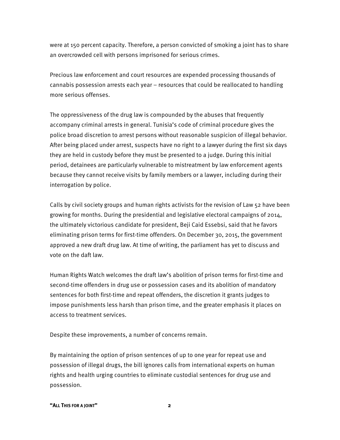were at 150 percent capacity. Therefore, a person convicted of smoking a joint has to share an overcrowded cell with persons imprisoned for serious crimes.

Precious law enforcement and court resources are expended processing thousands of cannabis possession arrests each year – resources that could be reallocated to handling more serious offenses.

The oppressiveness of the drug law is compounded by the abuses that frequently accompany criminal arrests in general. Tunisia's code of criminal procedure gives the police broad discretion to arrest persons without reasonable suspicion of illegal behavior. After being placed under arrest, suspects have no right to a lawyer during the first six days they are held in custody before they must be presented to a judge. During this initial period, detainees are particularly vulnerable to mistreatment by law enforcement agents because they cannot receive visits by family members or a lawyer, including during their interrogation by police.

Calls by civil society groups and human rights activists for the revision of Law 52 have been growing for months. During the presidential and legislative electoral campaigns of 2014, the ultimately victorious candidate for president, Beji Caid Essebsi, said that he favors eliminating prison terms for first-time offenders. On December 30, 2015, the government approved a new draft drug law. At time of writing, the parliament has yet to discuss and vote on the daft law.

Human Rights Watch welcomes the draft law's abolition of prison terms for first-time and second-time offenders in drug use or possession cases and its abolition of mandatory sentences for both first-time and repeat offenders, the discretion it grants judges to impose punishments less harsh than prison time, and the greater emphasis it places on access to treatment services.

Despite these improvements, a number of concerns remain.

By maintaining the option of prison sentences of up to one year for repeat use and possession of illegal drugs, the bill ignores calls from international experts on human rights and health urging countries to eliminate custodial sentences for drug use and possession.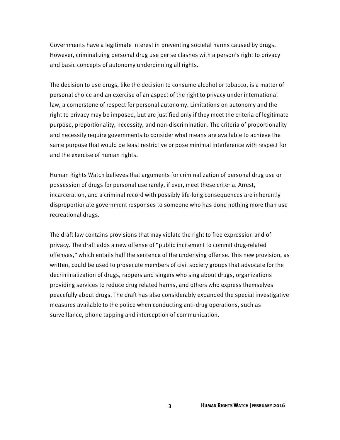Governments have a legitimate interest in preventing societal harms caused by drugs. However, criminalizing personal drug use per se clashes with a person's right to privacy and basic concepts of autonomy underpinning all rights.

The decision to use drugs, like the decision to consume alcohol or tobacco, is a matter of personal choice and an exercise of an aspect of the right to privacy under international law, a cornerstone of respect for personal autonomy. Limitations on autonomy and the right to privacy may be imposed, but are justified only if they meet the criteria of legitimate purpose, proportionality, necessity, and non-discrimination. The criteria of proportionality and necessity require governments to consider what means are available to achieve the same purpose that would be least restrictive or pose minimal interference with respect for and the exercise of human rights.

Human Rights Watch believes that arguments for criminalization of personal drug use or possession of drugs for personal use rarely, if ever, meet these criteria. Arrest, incarceration, and a criminal record with possibly life-long consequences are inherently disproportionate government responses to someone who has done nothing more than use recreational drugs.

The draft law contains provisions that may violate the right to free expression and of privacy. The draft adds a new offense of "public incitement to commit drug-related offenses," which entails half the sentence of the underlying offense. This new provision, as written, could be used to prosecute members of civil society groups that advocate for the decriminalization of drugs, rappers and singers who sing about drugs, organizations providing services to reduce drug related harms, and others who express themselves peacefully about drugs. The draft has also considerably expanded the special investigative measures available to the police when conducting anti-drug operations, such as surveillance, phone tapping and interception of communication.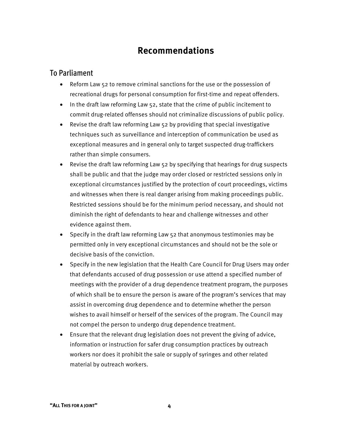## **Recommendations**

#### To Parliament

- Reform Law 52 to remove criminal sanctions for the use or the possession of recreational drugs for personal consumption for first-time and repeat offenders.
- In the draft law reforming Law 52, state that the crime of public incitement to commit drug-related offenses should not criminalize discussions of public policy.
- Revise the draft law reforming Law 52 by providing that special investigative techniques such as surveillance and interception of communication be used as exceptional measures and in general only to target suspected drug-traffickers rather than simple consumers.
- Revise the draft law reforming Law 52 by specifying that hearings for drug suspects shall be public and that the judge may order closed or restricted sessions only in exceptional circumstances justified by the protection of court proceedings, victims and witnesses when there is real danger arising from making proceedings public. Restricted sessions should be for the minimum period necessary, and should not diminish the right of defendants to hear and challenge witnesses and other evidence against them.
- Specify in the draft law reforming Law 52 that anonymous testimonies may be permitted only in very exceptional circumstances and should not be the sole or decisive basis of the conviction.
- Specify in the new legislation that the Health Care Council for Drug Users may order that defendants accused of drug possession or use attend a specified number of meetings with the provider of a drug dependence treatment program, the purposes of which shall be to ensure the person is aware of the program's services that may assist in overcoming drug dependence and to determine whether the person wishes to avail himself or herself of the services of the program. The Council may not compel the person to undergo drug dependence treatment.
- Ensure that the relevant drug legislation does not prevent the giving of advice, information or instruction for safer drug consumption practices by outreach workers nor does it prohibit the sale or supply of syringes and other related material by outreach workers.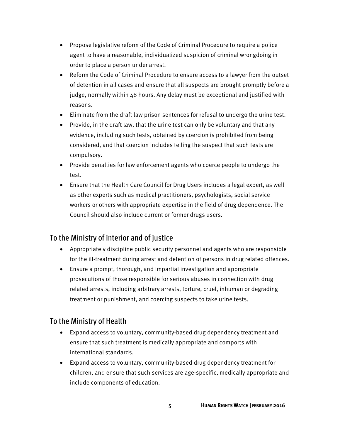- Propose legislative reform of the Code of Criminal Procedure to require a police agent to have a reasonable, individualized suspicion of criminal wrongdoing in order to place a person under arrest.
- Reform the Code of Criminal Procedure to ensure access to a lawyer from the outset of detention in all cases and ensure that all suspects are brought promptly before a judge, normally within 48 hours. Any delay must be exceptional and justified with reasons.
- Eliminate from the draft law prison sentences for refusal to undergo the urine test.
- Provide, in the draft law, that the urine test can only be voluntary and that any evidence, including such tests, obtained by coercion is prohibited from being considered, and that coercion includes telling the suspect that such tests are compulsory.
- Provide penalties for law enforcement agents who coerce people to undergo the test.
- Ensure that the Health Care Council for Drug Users includes a legal expert, as well as other experts such as medical practitioners, psychologists, social service workers or others with appropriate expertise in the field of drug dependence. The Council should also include current or former drugs users.

#### To the Ministry of interior and of justice

- Appropriately discipline public security personnel and agents who are responsible for the ill-treatment during arrest and detention of persons in drug related offences.
- Ensure a prompt, thorough, and impartial investigation and appropriate prosecutions of those responsible for serious abuses in connection with drug related arrests, including arbitrary arrests, torture, cruel, inhuman or degrading treatment or punishment, and coercing suspects to take urine tests.

#### To the Ministry of Health

- Expand access to voluntary, community-based drug dependency treatment and ensure that such treatment is medically appropriate and comports with international standards.
- Expand access to voluntary, community-based drug dependency treatment for children, and ensure that such services are age-specific, medically appropriate and include components of education.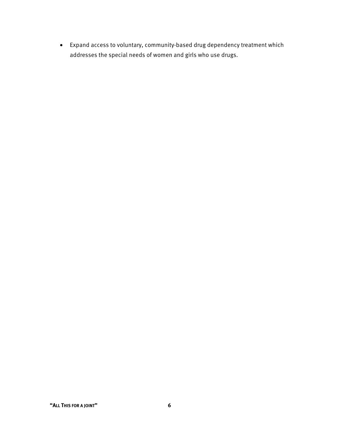• Expand access to voluntary, community-based drug dependency treatment which addresses the special needs of women and girls who use drugs.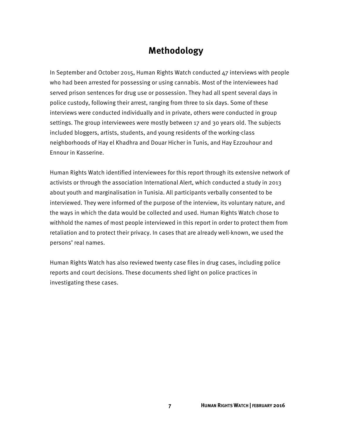## **Methodology**

In September and October 2015, Human Rights Watch conducted 47 interviews with people who had been arrested for possessing or using cannabis. Most of the interviewees had served prison sentences for drug use or possession. They had all spent several days in police custody, following their arrest, ranging from three to six days. Some of these interviews were conducted individually and in private, others were conducted in group settings. The group interviewees were mostly between 17 and 30 years old. The subjects included bloggers, artists, students, and young residents of the working-class neighborhoods of Hay el Khadhra and Douar Hicher in Tunis, and Hay Ezzouhour and Ennour in Kasserine.

Human Rights Watch identified interviewees for this report through its extensive network of activists or through the association International Alert, which conducted a study in 2013 about youth and marginalisation in Tunisia. All participants verbally consented to be interviewed. They were informed of the purpose of the interview, its voluntary nature, and the ways in which the data would be collected and used. Human Rights Watch chose to withhold the names of most people interviewed in this report in order to protect them from retaliation and to protect their privacy. In cases that are already well-known, we used the persons' real names.

Human Rights Watch has also reviewed twenty case files in drug cases, including police reports and court decisions. These documents shed light on police practices in investigating these cases.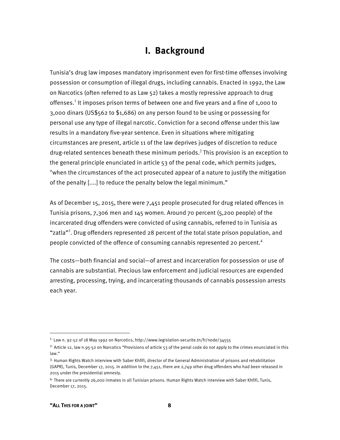## **I. Background**

Tunisia's drug law imposes mandatory imprisonment even for first-time offenses involving possession or consumption of illegal drugs, including cannabis. Enacted in 1992, the Law on Narcotics (often referred to as Law 52) takes a mostly repressive approach to drug offenses.<sup>1</sup> It imposes prison terms of between one and five years and a fine of 1,000 to 3,000 dinars (US\$562 to \$1,686) on any person found to be using or possessing for personal use any type of illegal narcotic. Conviction for a second offense under this law results in a mandatory five-year sentence. Even in situations where mitigating circumstances are present, article 11 of the law deprives judges of discretion to reduce drug-related sentences beneath these minimum periods.<sup>2</sup> This provision is an exception to the general principle enunciated in article 53 of the penal code, which permits judges, "when the circumstances of the act prosecuted appear of a nature to justify the mitigation of the penalty [....] to reduce the penalty below the legal minimum."

As of December 15, 2015, there were 7,451 people prosecuted for drug related offences in Tunisia prisons, 7,306 men and 145 women. Around 70 percent (5,200 people) of the incarcerated drug offenders were convicted of using cannabis, referred to in Tunisia as "zatla"<sup>3</sup>. Drug offenders represented 28 percent of the total state prison population, and people convicted of the offence of consuming cannabis represented 20 percent.<sup>4</sup>

The costs—both financial and social—of arrest and incarceration for possession or use of cannabis are substantial. Precious law enforcement and judicial resources are expended arresting, processing, trying, and incarcerating thousands of cannabis possession arrests each year.

 $<sup>1</sup>$  Law n. 92-52 of 18 May 1992 on Narcotics, http://www.legislation-securite.tn/fr/node/34555</sup>

<sup>&</sup>lt;sup>2.</sup> Article 12, law n.95-52 on Narcotics "Provisions of article 53 of the penal code do not apply to the crimes enunciated in this law."

<sup>3.</sup> Human Rights Watch interview with Saber Khfifi, director of the General Administration of prisons and rehabilitation (GAPR), Tunis, December 17, 2015. In addition to the 7,451, there are 2,749 other drug offenders who had been released in 2015 under the presidential amnesty.

<sup>4.</sup> There are currently 26,000 inmates in all Tunisian prisons. Human Rights Watch interview with Saber Khfifi, Tunis, December 17, 2015.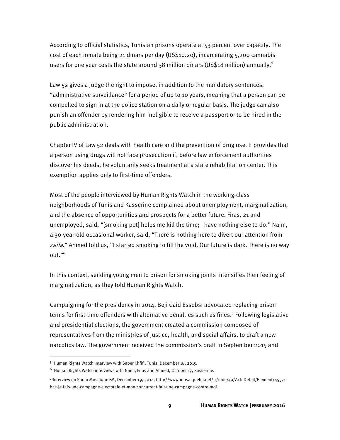According to official statistics, Tunisian prisons operate at 53 percent over capacity. The cost of each inmate being 21 dinars per day (US\$10.20), incarcerating 5,200 cannabis users for one year costs the state around 38 million dinars (US\$18 million) annually.<sup>5</sup>

Law 52 gives a judge the right to impose, in addition to the mandatory sentences, "administrative surveillance" for a period of up to 10 years, meaning that a person can be compelled to sign in at the police station on a daily or regular basis. The judge can also punish an offender by rendering him ineligible to receive a passport or to be hired in the public administration.

Chapter IV of Law 52 deals with health care and the prevention of drug use. It provides that a person using drugs will not face prosecution if, before law enforcement authorities discover his deeds, he voluntarily seeks treatment at a state rehabilitation center. This exemption applies only to first-time offenders.

Most of the people interviewed by Human Rights Watch in the working-class neighborhoods of Tunis and Kasserine complained about unemployment, marginalization, and the absence of opportunities and prospects for a better future. Firas, 21 and unemployed, said, "[smoking pot] helps me kill the time; I have nothing else to do." Naim, a 30-year-old occasional worker, said, "There is nothing here to divert our attention from zatla." Ahmed told us, "I started smoking to fill the void. Our future is dark. There is no way out."<sup>6</sup>

In this context, sending young men to prison for smoking joints intensifies their feeling of marginalization, as they told Human Rights Watch.

Campaigning for the presidency in 2014, Beji Caid Essebsi advocated replacing prison terms for first-time offenders with alternative penalties such as fines.<sup>7</sup> Following legislative and presidential elections, the government created a commission composed of representatives from the ministries of justice, health, and social affairs, to draft a new narcotics law. The government received the commission's draft in September 2015 and

<sup>5.</sup> Human Rights Watch interview with Saber Khfifi, Tunis, December 18, 2015.

<sup>&</sup>lt;sup>6.</sup> Human Rights Watch interviews with Naim, Firas and Ahmed, October 17, Kasserine.

<sup>7.</sup>Interview on Radio Mosaique FM, December 19, 2014, http://www.mosaiquefm.net/fr/index/a/ActuDetail/Element/45571 bce-je-fais-une-campagne-electorale-et-mon-concurrent-fait-une-campagne-contre-moi.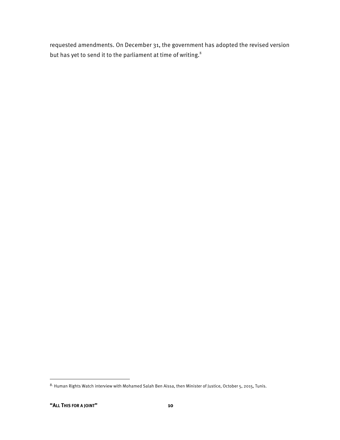requested amendments. On December 31, the government has adopted the revised version but has yet to send it to the parliament at time of writing.<sup>8</sup>

<sup>8.</sup> Human Rights Watch interview with Mohamed Salah Ben Aissa, then Minister of Justice, October 5, 2015, Tunis.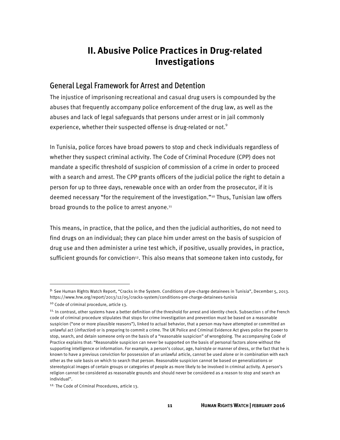## **II. Abusive Police Practices in Drug-related Investigations**

#### General Legal Framework for Arrest and Detention

The injustice of imprisoning recreational and casual drug users is compounded by the abuses that frequently accompany police enforcement of the drug law, as well as the abuses and lack of legal safeguards that persons under arrest or in jail commonly experience, whether their suspected offense is drug-related or not. $9$ 

In Tunisia, police forces have broad powers to stop and check individuals regardless of whether they suspect criminal activity. The Code of Criminal Procedure (CPP) does not mandate a specific threshold of suspicion of commission of a crime in order to proceed with a search and arrest. The CPP grants officers of the judicial police the right to detain a person for up to three days, renewable once with an order from the prosecutor, if it is deemed necessary "for the requirement of the investigation."10 Thus, Tunisian law offers broad grounds to the police to arrest anyone.<sup>11</sup>

This means, in practice, that the police, and then the judicial authorities, do not need to find drugs on an individual; they can place him under arrest on the basis of suspicion of drug use and then administer a urine test which, if positive, usually provides, in practice, sufficient grounds for conviction<sup>12</sup>. This also means that someone taken into custody, for

<sup>9.</sup> See Human Rights Watch Report, "Cracks in the System. Conditions of pre-charge detainees in Tunisia", December 5, 2013. https://www.hrw.org/report/2013/12/05/cracks-system/conditions-pre-charge-detainees-tunisia

<sup>10</sup> Code of criminal procedure, article 13.

<sup>11.</sup> In contrast, other systems have a better definition of the threshold for arrest and identity check. Subsection 1 of the French code of criminal procedure stipulates that stops for crime investigation and prevention must be based on a reasonable suspicion ("one or more plausible reasons"), linked to actual behavior, that a person may have attempted or committed an unlawful act (infraction) or is preparing to commit a crime. The UK Police and Criminal Evidence Act gives police the power to stop, search, and detain someone only on the basis of a "reasonable suspicion" of wrongdoing. The accompanying Code of Practice explains that: "Reasonable suspicion can never be supported on the basis of personal factors alone without the supporting intelligence or information. For example, a person's colour, age, hairstyle or manner of dress, or the fact that he is known to have a previous conviction for possession of an unlawful article, cannot be used alone or in combination with each other as the sole basis on which to search that person. Reasonable suspicion cannot be based on generalizations or stereotypical images of certain groups or categories of people as more likely to be involved in criminal activity. A person's religion cannot be considered as reasonable grounds and should never be considered as a reason to stop and search an individual".

<sup>12.</sup> The Code of Criminal Procedures, article 13.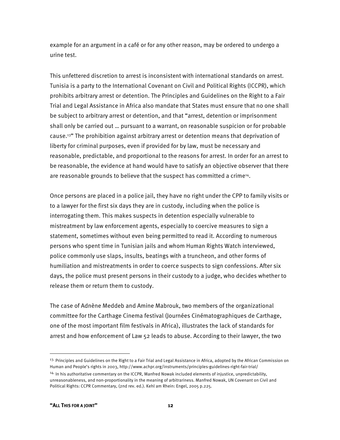example for an argument in a café or for any other reason, may be ordered to undergo a urine test.

This unfettered discretion to arrest is inconsistent with international standards on arrest. Tunisia is a party to the International Covenant on Civil and Political Rights (ICCPR), which prohibits arbitrary arrest or detention. The Principles and Guidelines on the Right to a Fair Trial and Legal Assistance in Africa also mandate that States must ensure that no one shall be subject to arbitrary arrest or detention, and that "arrest, detention or imprisonment shall only be carried out … pursuant to a warrant, on reasonable suspicion or for probable cause.13" The prohibition against arbitrary arrest or detention means that deprivation of liberty for criminal purposes, even if provided for by law, must be necessary and reasonable, predictable, and proportional to the reasons for arrest. In order for an arrest to be reasonable, the evidence at hand would have to satisfy an objective observer that there are reasonable grounds to believe that the suspect has committed a crime<sup>14</sup>.

Once persons are placed in a police jail, they have no right under the CPP to family visits or to a lawyer for the first six days they are in custody, including when the police is interrogating them. This makes suspects in detention especially vulnerable to mistreatment by law enforcement agents, especially to coercive measures to sign a statement, sometimes without even being permitted to read it. According to numerous persons who spent time in Tunisian jails and whom Human Rights Watch interviewed, police commonly use slaps, insults, beatings with a truncheon, and other forms of humiliation and mistreatments in order to coerce suspects to sign confessions. After six days, the police must present persons in their custody to a judge, who decides whether to release them or return them to custody.

The case of Adnène Meddeb and Amine Mabrouk, two members of the organizational committee for the Carthage Cinema festival (Journées Cinématographiques de Carthage, one of the most important film festivals in Africa), illustrates the lack of standards for arrest and how enforcement of Law 52 leads to abuse. According to their lawyer, the two

<sup>&</sup>lt;sup>13.</sup> Principles and Guidelines on the Right to a Fair Trial and Legal Assistance in Africa, adopted by the African Commission on Human and People's rights in 2003, http://www.achpr.org/instruments/principles-guidelines-right-fair-trial/ <sup>14.</sup> In his authoritative commentary on the ICCPR, Manfred Nowak included elements of injustice, unpredictability, unreasonableness, and non-proportionality in the meaning of arbitrariness. Manfred Nowak, UN Covenant on Civil and Political Rights: CCPR Commentary, (2nd rev. ed.). Kehl am Rhein: Engel, 2005 p.225.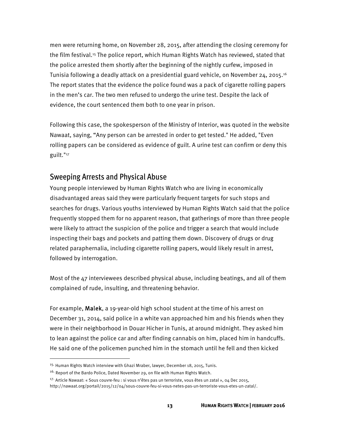men were returning home, on November 28, 2015, after attending the closing ceremony for the film festival.<sup>15</sup> The police report, which Human Rights Watch has reviewed, stated that the police arrested them shortly after the beginning of the nightly curfew, imposed in Tunisia following a deadly attack on a presidential guard vehicle, on November 24, 2015.16 The report states that the evidence the police found was a pack of cigarette rolling papers in the men's car. The two men refused to undergo the urine test. Despite the lack of evidence, the court sentenced them both to one year in prison.

Following this case, the spokesperson of the Ministry of Interior, was quoted in the website Nawaat, saying, "Any person can be arrested in order to get tested." He added, "Even rolling papers can be considered as evidence of guilt. A urine test can confirm or deny this guilt."17

#### Sweeping Arrests and Physical Abuse

Young people interviewed by Human Rights Watch who are living in economically disadvantaged areas said they were particularly frequent targets for such stops and searches for drugs. Various youths interviewed by Human Rights Watch said that the police frequently stopped them for no apparent reason, that gatherings of more than three people were likely to attract the suspicion of the police and trigger a search that would include inspecting their bags and pockets and patting them down. Discovery of drugs or drug related paraphernalia, including cigarette rolling papers, would likely result in arrest, followed by interrogation.

Most of the  $47$  interviewees described physical abuse, including beatings, and all of them complained of rude, insulting, and threatening behavior.

For example, Malek, a 19-year-old high school student at the time of his arrest on December 31, 2014, said police in a white van approached him and his friends when they were in their neighborhood in Douar Hicher in Tunis, at around midnight. They asked him to lean against the police car and after finding cannabis on him, placed him in handcuffs. He said one of the policemen punched him in the stomach until he fell and then kicked

<sup>&</sup>lt;sup>15.</sup> Human Rights Watch interview with Ghazi Mraber, lawyer, December 18, 2015, Tunis.

<sup>&</sup>lt;sup>16.</sup> Report of the Bardo Police, Dated November 29, on file with Human Rights Watch.

<sup>&</sup>lt;sup>17.</sup> Article Nawaat: « Sous couvre-feu : si vous n'êtes pas un terroriste, vous êtes un zatal », 04 Dec 2015,

http://nawaat.org/portail/2015/12/04/sous-couvre-feu-si-vous-netes-pas-un-terroriste-vous-etes-un-zatal/.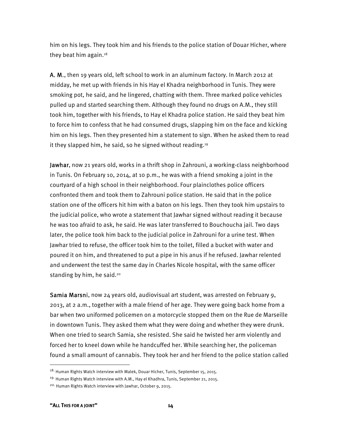him on his legs. They took him and his friends to the police station of Douar Hicher, where they beat him again.<sup>18</sup>

A. M., then 19 years old, left school to work in an aluminum factory. In March 2012 at midday, he met up with friends in his Hay el Khadra neighborhood in Tunis. They were smoking pot, he said, and he lingered, chatting with them. Three marked police vehicles pulled up and started searching them. Although they found no drugs on A.M., they still took him, together with his friends, to Hay el Khadra police station. He said they beat him to force him to confess that he had consumed drugs, slapping him on the face and kicking him on his legs. Then they presented him a statement to sign. When he asked them to read it they slapped him, he said, so he signed without reading.19

Jawhar, now 21 years old, works in a thrift shop in Zahrouni, a working-class neighborhood in Tunis. On February 10, 2014, at 10 p.m., he was with a friend smoking a joint in the courtyard of a high school in their neighborhood. Four plainclothes police officers confronted them and took them to Zahrouni police station. He said that in the police station one of the officers hit him with a baton on his legs. Then they took him upstairs to the judicial police, who wrote a statement that Jawhar signed without reading it because he was too afraid to ask, he said. He was later transferred to Bouchoucha jail. Two days later, the police took him back to the judicial police in Zahrouni for a urine test. When Jawhar tried to refuse, the officer took him to the toilet, filled a bucket with water and poured it on him, and threatened to put a pipe in his anus if he refused. Jawhar relented and underwent the test the same day in Charles Nicole hospital, with the same officer standing by him, he said.<sup>20</sup>

Samia Marsni, now 24 years old, audiovisual art student, was arrested on February 9, 2013, at 2 a.m., together with a male friend of her age. They were going back home from a bar when two uniformed policemen on a motorcycle stopped them on the Rue de Marseille in downtown Tunis. They asked them what they were doing and whether they were drunk. When one tried to search Samia, she resisted. She said he twisted her arm violently and forced her to kneel down while he handcuffed her. While searching her, the policeman found a small amount of cannabis. They took her and her friend to the police station called

<sup>&</sup>lt;sup>18.</sup> Human Rights Watch interview with Malek, Douar Hicher, Tunis, September 15, 2015.

<sup>&</sup>lt;sup>19.</sup> Human Rights Watch interview with A.M., Hay el Khadhra, Tunis, September 21, 2015.

<sup>20.</sup> Human Rights Watch interview with Jawhar, October 9, 2015.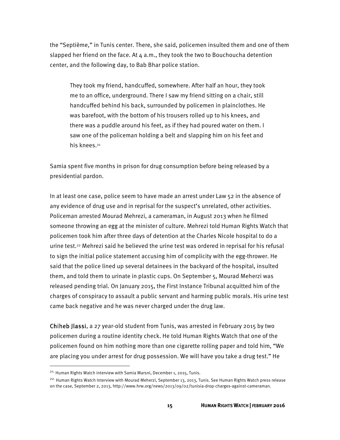the "Septième," in Tunis center. There, she said, policemen insulted them and one of them slapped her friend on the face. At  $4$  a.m., they took the two to Bouchoucha detention center, and the following day, to Bab Bhar police station.

They took my friend, handcuffed, somewhere. After half an hour, they took me to an office, underground. There I saw my friend sitting on a chair, still handcuffed behind his back, surrounded by policemen in plainclothes. He was barefoot, with the bottom of his trousers rolled up to his knees, and there was a puddle around his feet, as if they had poured water on them. I saw one of the policeman holding a belt and slapping him on his feet and his knees.<sup>21</sup>

Samia spent five months in prison for drug consumption before being released by a presidential pardon.

In at least one case, police seem to have made an arrest under Law 52 in the absence of any evidence of drug use and in reprisal for the suspect's unrelated, other activities. Policeman arrested Mourad Mehrezi, a cameraman, in August 2013 when he filmed someone throwing an egg at the minister of culture. Mehrezi told Human Rights Watch that policemen took him after three days of detention at the Charles Nicole hospital to do a urine test.<sup>22</sup> Mehrezi said he believed the urine test was ordered in reprisal for his refusal to sign the initial police statement accusing him of complicity with the egg-thrower. He said that the police lined up several detainees in the backyard of the hospital, insulted them, and told them to urinate in plastic cups. On September 5, Mourad Meherzi was released pending trial. On January 2015, the First Instance Tribunal acquitted him of the charges of conspiracy to assault a public servant and harming public morals. His urine test came back negative and he was never charged under the drug law.

Chiheb Jlassi, a 27 year-old student from Tunis, was arrested in February 2015 by two policemen during a routine identity check. He told Human Rights Watch that one of the policemen found on him nothing more than one cigarette rolling paper and told him, "We are placing you under arrest for drug possession. We will have you take a drug test." He

<sup>&</sup>lt;sup>21.</sup> Human Rights Watch interview with Samia Marsni, December 1, 2015, Tunis.

<sup>&</sup>lt;sup>22.</sup> Human Rights Watch Interview with Mourad Meherzi, September 13, 2013, Tunis. See Human Rights Watch press release on the case, September 2, 2013, http://www.hrw.org/news/2013/09/02/tunisia-drop-charges-against-cameraman.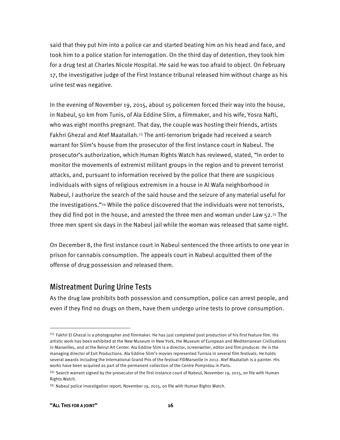said that they put him into a police car and started beating him on his head and face, and took him to a police station for interrogation. On the third day of detention, they took him for a drug test at Charles Nicole Hospital. He said he was too afraid to object. On February 17, the investigative judge of the First Instance tribunal released him without charge as his urine test was negative.

In the evening of November 19, 2015, about 15 policemen forced their way into the house, in Nabeul, 50 km from Tunis, of Ala Eddine Slim, a filmmaker, and his wife, Yosra Nafti, who was eight months pregnant. That day, the couple was hosting their friends, artists Fakhri Ghezal and Atef Maatallah.23 The anti-terrorism brigade had received a search warrant for Slim's house from the prosecutor of the first instance court in Nabeul. The prosecutor's authorization, which Human Rights Watch has reviewed, stated, "In order to monitor the movements of extremist militant groups in the region and to prevent terrorist attacks, and, pursuant to information received by the police that there are suspicious individuals with signs of religious extremism in a house in Al Wafa neighborhood in Nabeul, I authorize the search of the said house and the seizure of any material useful for the investigations."24 While the police discovered that the individuals were not terrorists, they did find pot in the house, and arrested the three men and woman under Law  $52.^{25}$  The three men spent six days in the Nabeul jail while the woman was released that same night.

On December 8, the first instance court in Nabeul sentenced the three artists to one year in prison for cannabis consumption. The appeals court in Nabeul acquitted them of the offense of drug possession and released them.

#### Mistreatment During Urine Tests

As the drug law prohibits both possession and consumption, police can arrest people, and even if they find no drugs on them, have them undergo urine tests to prove consumption.

<sup>&</sup>lt;sup>23.</sup> Fakhri El Ghezal is a photographer and filmmaker. He has just completed post production of his first feature film. His artistic work has been exhibited at the New Museum in New York, the Museum of European and Mediterranean Civilisations in Marseilles, and at the Beirut Art Center. Ala Eddine Slim is a director, screenwriter, editor and film producer. He is the managing director of Exit Productions. Ala Eddine Slim's movies represented Tunisia in several film festivals. He holds several awards including the International Grand Prix of the festival FIDMarseille in 2012. Atef Maatallah is a painter. His works have been acquired as part of the permanent collection of the Centre Pompidou in Paris.

<sup>&</sup>lt;sup>24.</sup> Search warrant signed by the prosecutor of the first instance court of Nabeul, November 19, 2015, on file with Human Rights Watch.

<sup>&</sup>lt;sup>25.</sup> Nabeul police investigation report, November 19, 2015, on file with Human Rights Watch.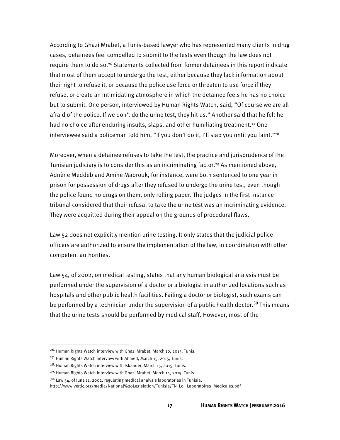According to Ghazi Mrabet, a Tunis-based lawyer who has represented many clients in drug cases, detainees feel compelled to submit to the tests even though the law does not require them to do so.26 Statements collected from former detainees in this report indicate that most of them accept to undergo the test, either because they lack information about their right to refuse it, or because the police use force or threaten to use force if they refuse, or create an intimidating atmosphere in which the detainee feels he has no choice but to submit. One person, interviewed by Human Rights Watch, said, "Of course we are all afraid of the police. If we don't do the urine test, they hit us." Another said that he felt he had no choice after enduring insults, slaps, and other humiliating treatment.<sup>27</sup> One interviewee said a policeman told him, "If you don't do it, I'll slap you until you faint."<sup>28</sup>

Moreover, when a detainee refuses to take the test, the practice and jurisprudence of the Tunisian judiciary is to consider this as an incriminating factor.<sup>29</sup> As mentioned above, Adnène Meddeb and Amine Mabrouk, for instance, were both sentenced to one year in prison for possession of drugs after they refused to undergo the urine test, even though the police found no drugs on them, only rolling paper. The judges in the first instance tribunal considered that their refusal to take the urine test was an incriminating evidence. They were acquitted during their appeal on the grounds of procedural flaws.

Law 52 does not explicitly mention urine testing. It only states that the judicial police officers are authorized to ensure the implementation of the law, in coordination with other competent authorities.

Law 54, of 2002, on medical testing, states that any human biological analysis must be performed under the supervision of a doctor or a biologist in authorized locations such as hospitals and other public health facilities. Failing a doctor or biologist, such exams can be performed by a technician under the supervision of a public health doctor.<sup>30</sup> This means that the urine tests should be performed by medical staff. However, most of the

<sup>&</sup>lt;sup>26.</sup> Human Rights Watch interview with Ghazi Mrabet, March 10, 2015, Tunis.

<sup>27.</sup> Human Rights Watch interview with Ahmed, March 15, 2015, Tunis.

<sup>28.</sup> Human Rights Watch interview with Iskander, March 15, 2015, Tunis.

<sup>29.</sup> Human Rights Watch interview with Ghazi Mrabet, March 14, 2015, Tunis.

 $30.$  Law 54, of lune 11, 2002, regulating medical analysis laboratories in Tunisia,

http://www.vertic.org/media/National%20Legislation/Tunisia/TN\_Loi\_Laboratoires\_Medicales.pdf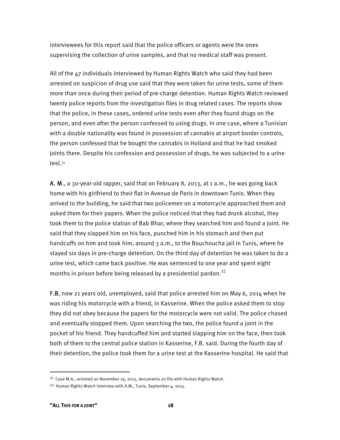interviewees for this report said that the police officers or agents were the ones supervising the collection of urine samples, and that no medical staff was present.

All of the 47 individuals interviewed by Human Rights Watch who said they had been arrested on suspicion of drug use said that they were taken for urine tests, some of them more than once during their period of pre-charge detention. Human Rights Watch reviewed twenty police reports from the investigation files in drug related cases. The reports show that the police, in these cases, ordered urine tests even after they found drugs on the person, and even after the person confessed to using drugs. In one case, where a Tunisian with a double nationality was found in possession of cannabis at airport border controls, the person confessed that he bought the cannabis in Holland and that he had smoked joints there. Despite his confession and possession of drugs, he was subjected to a urine test.31

A. M., a 30-year-old rapper, said that on February 8, 2013, at 1 a.m., he was going back home with his girlfriend to their flat in Avenue de Paris in downtown Tunis. When they arrived to the building, he said that two policemen on a motorcycle approached them and asked them for their papers. When the police noticed that they had drunk alcohol, they took them to the police station of Bab Bhar, where they searched him and found a joint. He said that they slapped him on his face, punched him in his stomach and then put handcuffs on him and took him, around 3 a.m., to the Bouchoucha jail in Tunis, where he stayed six days in pre-charge detention. On the third day of detention he was taken to do a urine test, which came back positive. He was sentenced to one year and spent eight months in prison before being released by a presidential pardon.<sup>32</sup>

F.B, now 21 years old, unemployed, said that police arrested him on May 6, 2014 when he was riding his motorcycle with a friend, in Kasserine. When the police asked them to stop they did not obey because the papers for the motorcycle were not valid. The police chased and eventually stopped them. Upon searching the two, the police found a joint in the pocket of his friend. They handcuffed him and started slapping him on the face, then took both of them to the central police station in Kasserine, F.B. said. During the fourth day of their detention, the police took them for a urine test at the Kasserine hospital. He said that

<sup>&</sup>lt;sup>31.</sup> Case M.A., arrested on November 19, 2015, documents on file with Human Rights Watch.

<sup>32.</sup> Human Rights Watch interview with A.M., Tunis, September 4, 2015.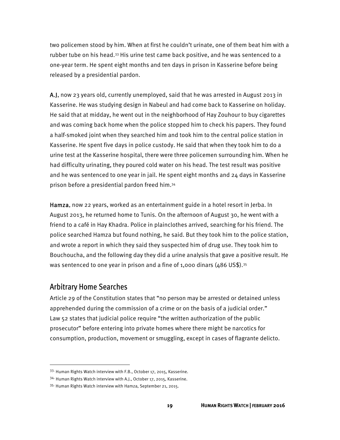two policemen stood by him. When at first he couldn't urinate, one of them beat him with a rubber tube on his head.33 His urine test came back positive, and he was sentenced to a one-year term. He spent eight months and ten days in prison in Kasserine before being released by a presidential pardon.

A.J, now 23 years old, currently unemployed, said that he was arrested in August 2013 in Kasserine. He was studying design in Nabeul and had come back to Kasserine on holiday. He said that at midday, he went out in the neighborhood of Hay Zouhour to buy cigarettes and was coming back home when the police stopped him to check his papers. They found a half-smoked joint when they searched him and took him to the central police station in Kasserine. He spent five days in police custody. He said that when they took him to do a urine test at the Kasserine hospital, there were three policemen surrounding him. When he had difficulty urinating, they poured cold water on his head. The test result was positive and he was sentenced to one year in jail. He spent eight months and 24 days in Kasserine prison before a presidential pardon freed him.34

Hamza, now 22 years, worked as an entertainment guide in a hotel resort in Jerba. In August 2013, he returned home to Tunis. On the afternoon of August 30, he went with a friend to a café in Hay Khadra. Police in plainclothes arrived, searching for his friend. The police searched Hamza but found nothing, he said. But they took him to the police station, and wrote a report in which they said they suspected him of drug use. They took him to Bouchoucha, and the following day they did a urine analysis that gave a positive result. He was sentenced to one year in prison and a fine of 1,000 dinars  $(486 \text{ US}$ \$).<sup>35</sup>

#### Arbitrary Home Searches

 $\overline{a}$ 

Article 29 of the Constitution states that "no person may be arrested or detained unless apprehended during the commission of a crime or on the basis of a judicial order." Law 52 states that judicial police require "the written authorization of the public prosecutor" before entering into private homes where there might be narcotics for consumption, production, movement or smuggling, except in cases of flagrante delicto.

<sup>33.</sup> Human Rights Watch interview with F.B., October 17, 2015, Kasserine.

<sup>34.</sup> Human Rights Watch interview with A.J., October 17, 2015, Kasserine.

<sup>35.</sup> Human Rights Watch interview with Hamza, September 21, 2015.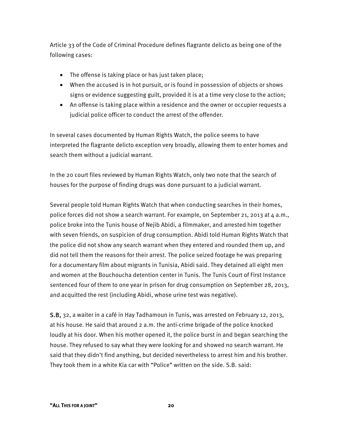Article 33 of the Code of Criminal Procedure defines flagrante delicto as being one of the following cases:

- The offense is taking place or has just taken place;
- When the accused is in hot pursuit, or is found in possession of objects or shows signs or evidence suggesting guilt, provided it is at a time very close to the action;
- An offense is taking place within a residence and the owner or occupier requests a judicial police officer to conduct the arrest of the offender.

In several cases documented by Human Rights Watch, the police seems to have interpreted the flagrante delicto exception very broadly, allowing them to enter homes and search them without a judicial warrant.

In the 20 court files reviewed by Human Rights Watch, only two note that the search of houses for the purpose of finding drugs was done pursuant to a judicial warrant.

Several people told Human Rights Watch that when conducting searches in their homes, police forces did not show a search warrant. For example, on September 21, 2013 at  $\mu$  a.m., police broke into the Tunis house of Nejib Abidi, a filmmaker, and arrested him together with seven friends, on suspicion of drug consumption. Abidi told Human Rights Watch that the police did not show any search warrant when they entered and rounded them up, and did not tell them the reasons for their arrest. The police seized footage he was preparing for a documentary film about migrants in Tunisia, Abidi said. They detained all eight men and women at the Bouchoucha detention center in Tunis. The Tunis Court of First Instance sentenced four of them to one year in prison for drug consumption on September 28, 2013, and acquitted the rest (including Abidi, whose urine test was negative).

S.B, 32, a waiter in a café in Hay Tadhamoun in Tunis, was arrested on February 12, 2013, at his house. He said that around 2 a.m. the anti-crime brigade of the police knocked loudly at his door. When his mother opened it, the police burst in and began searching the house. They refused to say what they were looking for and showed no search warrant. He said that they didn't find anything, but decided nevertheless to arrest him and his brother. They took them in a white Kia car with "Police" written on the side. S.B. said: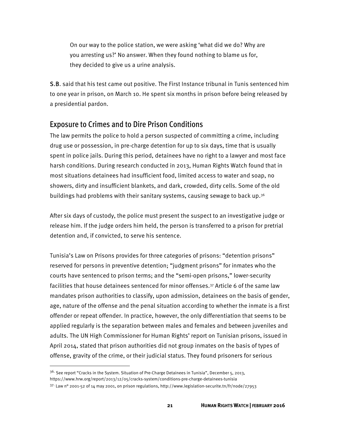On our way to the police station, we were asking 'what did we do? Why are you arresting us?' No answer. When they found nothing to blame us for, they decided to give us a urine analysis.

S.B. said that his test came out positive. The First Instance tribunal in Tunis sentenced him to one year in prison, on March 10. He spent six months in prison before being released by a presidential pardon.

#### Exposure to Crimes and to Dire Prison Conditions

The law permits the police to hold a person suspected of committing a crime, including drug use or possession, in pre-charge detention for up to six days, time that is usually spent in police jails. During this period, detainees have no right to a lawyer and most face harsh conditions. During research conducted in 2013, Human Rights Watch found that in most situations detainees had insufficient food, limited access to water and soap, no showers, dirty and insufficient blankets, and dark, crowded, dirty cells. Some of the old buildings had problems with their sanitary systems, causing sewage to back up.<sup>36</sup>

After six days of custody, the police must present the suspect to an investigative judge or release him. If the judge orders him held, the person is transferred to a prison for pretrial detention and, if convicted, to serve his sentence.

Tunisia's Law on Prisons provides for three categories of prisons: "detention prisons" reserved for persons in preventive detention; "judgment prisons" for inmates who the courts have sentenced to prison terms; and the "semi-open prisons," lower-security facilities that house detainees sentenced for minor offenses.37 Article 6 of the same law mandates prison authorities to classify, upon admission, detainees on the basis of gender, age, nature of the offense and the penal situation according to whether the inmate is a first offender or repeat offender. In practice, however, the only differentiation that seems to be applied regularly is the separation between males and females and between juveniles and adults. The UN High Commissioner for Human Rights' report on Tunisian prisons, issued in April 2014, stated that prison authorities did not group inmates on the basis of types of offense, gravity of the crime, or their judicial status. They found prisoners for serious

<sup>&</sup>lt;sup>36.</sup> See report "Cracks in the System. Situation of Pre-Charge Detainees in Tunisia", December 5, 2013, https://www.hrw.org/report/2013/12/05/cracks-system/conditions-pre-charge-detainees-tunisia

 $37$ · Law n° 2001-52 of 14 may 2001, on prison regulations, http://www.legislation-securite.tn/fr/node/27953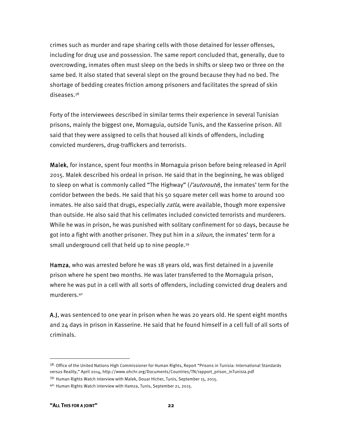crimes such as murder and rape sharing cells with those detained for lesser offenses, including for drug use and possession. The same report concluded that, generally, due to overcrowding, inmates often must sleep on the beds in shifts or sleep two or three on the same bed. It also stated that several slept on the ground because they had no bed. The shortage of bedding creates friction among prisoners and facilitates the spread of skin diseases.38

Forty of the interviewees described in similar terms their experience in several Tunisian prisons, mainly the biggest one, Mornaguia, outside Tunis, and the Kasserine prison. All said that they were assigned to cells that housed all kinds of offenders, including convicted murderers, drug-traffickers and terrorists.

Malek, for instance, spent four months in Mornaguia prison before being released in April 2015. Malek described his ordeal in prison. He said that in the beginning, he was obliged to sleep on what is commonly called "The Highway" (*l'autoroute*), the inmates' term for the corridor between the beds. He said that his 50 square meter cell was home to around 100 inmates. He also said that drugs, especially *zatla*, were available, though more expensive than outside. He also said that his cellmates included convicted terrorists and murderers. While he was in prison, he was punished with solitary confinement for 10 days, because he got into a fight with another prisoner. They put him in a siloun, the inmates' term for a small underground cell that held up to nine people.39

Hamza, who was arrested before he was 18 years old, was first detained in a juvenile prison where he spent two months. He was later transferred to the Mornaguia prison, where he was put in a cell with all sorts of offenders, including convicted drug dealers and murderers.40

A.J, was sentenced to one year in prison when he was 20 years old. He spent eight months and 24 days in prison in Kasserine. He said that he found himself in a cell full of all sorts of criminals.

<sup>&</sup>lt;sup>38.</sup> Office of the United Nations High Commissioner for Human Rights, Report "Prisons in Tunisia: International Standards versus Reality," April 2014, http://www.ohchr.org/Documents/Countries/TN/rapport\_prison\_inTunisia.pdf

<sup>39.</sup> Human Rights Watch interview with Malek, Douar Hicher, Tunis, September 15, 2015.

<sup>40.</sup> Human Rights Watch interview with Hamza, Tunis, September 21, 2015.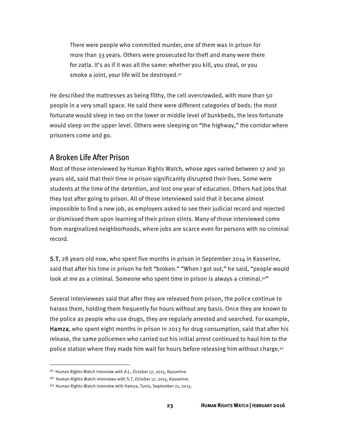There were people who committed murder, one of them was in prison for more than 33 years. Others were prosecuted for theft and many were there for zatla. It's as if it was all the same: whether you kill, you steal, or you smoke a joint, your life will be destroyed.41

He described the mattresses as being filthy, the cell overcrowded, with more than 50 people in a very small space. He said there were different categories of beds: the most fortunate would sleep in two on the lower or middle level of bunkbeds, the less fortunate would sleep on the upper level. Others were sleeping on "the highway," the corridor where prisoners come and go.

#### A Broken Life After Prison

Most of those interviewed by Human Rights Watch, whose ages varied between 17 and 30 years old, said that their time in prison significantly disrupted their lives. Some were students at the time of the detention, and lost one year of education. Others had jobs that they lost after going to prison. All of those interviewed said that it became almost impossible to find a new job, as employers asked to see their judicial record and rejected or dismissed them upon learning of their prison stints. Many of those interviewed come from marginalized neighborhoods, where jobs are scarce even for persons with no criminal record.

S.T, 28 years old now, who spent five months in prison in September 2014 in Kasserine, said that after his time in prison he felt "broken." "When I got out," he said, "people would look at me as a criminal. Someone who spent time in prison is always a criminal. $42^{\circ}$ 

Several interviewees said that after they are released from prison, the police continue to harass them, holding them frequently for hours without any basis. Once they are known to the police as people who use drugs, they are regularly arrested and searched. For example, Hamza, who spent eight months in prison in 2013 for drug consumption, said that after his release, the same policemen who carried out his initial arrest continued to haul him to the police station where they made him wait for hours before releasing him without charge.43

<sup>41.</sup> Human Rights Watch interview with A.J., October 17, 2015, Kasserine.

<sup>42.</sup> Human Rights Watch interviews with S.T, October 17, 2015, Kasserine.

<sup>43.</sup> Human Rights Watch interview with Hamza, Tunis, September 21, 2015.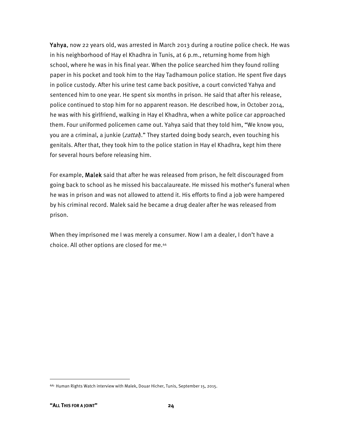Yahya, now 22 years old, was arrested in March 2013 during a routine police check. He was in his neighborhood of Hay el Khadhra in Tunis, at 6 p.m., returning home from high school, where he was in his final year. When the police searched him they found rolling paper in his pocket and took him to the Hay Tadhamoun police station. He spent five days in police custody. After his urine test came back positive, a court convicted Yahya and sentenced him to one year. He spent six months in prison. He said that after his release, police continued to stop him for no apparent reason. He described how, in October 2014, he was with his girlfriend, walking in Hay el Khadhra, when a white police car approached them. Four uniformed policemen came out. Yahya said that they told him, "We know you, you are a criminal, a junkie (zattal)." They started doing body search, even touching his genitals. After that, they took him to the police station in Hay el Khadhra, kept him there for several hours before releasing him.

For example, Malek said that after he was released from prison, he felt discouraged from going back to school as he missed his baccalaureate. He missed his mother's funeral when he was in prison and was not allowed to attend it. His efforts to find a job were hampered by his criminal record. Malek said he became a drug dealer after he was released from prison.

When they imprisoned me I was merely a consumer. Now I am a dealer, I don't have a choice. All other options are closed for me.44

<sup>44.</sup> Human Rights Watch interview with Malek, Douar Hicher, Tunis, September 15, 2015.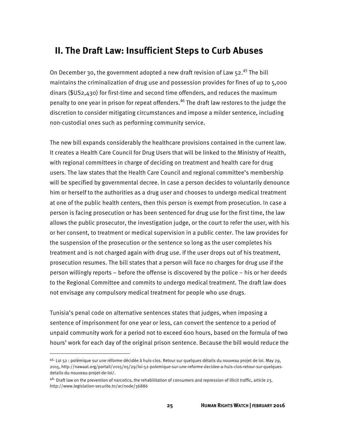### **II. The Draft Law: Insufficient Steps to Curb Abuses**

On December 30, the government adopted a new draft revision of Law  $52.45$  The bill maintains the criminalization of drug use and possession provides for fines of up to 5,000 dinars (\$US2,430) for first-time and second time offenders, and reduces the maximum penalty to one year in prison for repeat offenders.<sup>46</sup> The draft law restores to the judge the discretion to consider mitigating circumstances and impose a milder sentence, including non-custodial ones such as performing community service.

The new bill expands considerably the healthcare provisions contained in the current law. It creates a Health Care Council for Drug Users that will be linked to the Ministry of Health, with regional committees in charge of deciding on treatment and health care for drug users. The law states that the Health Care Council and regional committee's membership will be specified by governmental decree. In case a person decides to voluntarily denounce him or herself to the authorities as a drug user and chooses to undergo medical treatment at one of the public health centers, then this person is exempt from prosecution. In case a person is facing prosecution or has been sentenced for drug use for the first time, the law allows the public prosecutor, the investigation judge, or the court to refer the user, with his or her consent, to treatment or medical supervision in a public center. The law provides for the suspension of the prosecution or the sentence so long as the user completes his treatment and is not charged again with drug use. If the user drops out of his treatment, prosecution resumes. The bill states that a person will face no charges for drug use if the person willingly reports – before the offense is discovered by the police – his or her deeds to the Regional Committee and commits to undergo medical treatment. The draft law does not envisage any compulsory medical treatment for people who use drugs.

Tunisia's penal code on alternative sentences states that judges, when imposing a sentence of imprisonment for one year or less, can convert the sentence to a period of unpaid community work for a period not to exceed 600 hours, based on the formula of two hours' work for each day of the original prison sentence. Because the bill would reduce the

<sup>45&</sup>lt;sup>.</sup> Loi 52 : polémique sur une réforme décidée à huis-clos. Retour sur quelques détails du nouveau projet de loi. May 29, 2015, http://nawaat.org/portail/2015/05/29/loi-52-polemique-sur-une-reforme-decidee-a-huis-clos-retour-sur-quelquesdetails-du-nouveau-projet-de-loi/.

 $46.$  Draft law on the prevention of narcotics, the rehabilitation of consumers and repression of illicit traffic, article 23, http://www.legislation-securite.tn/ar/node/36886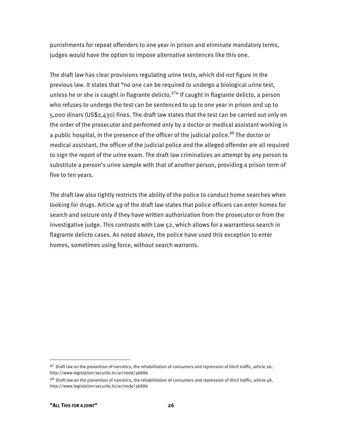punishments for repeat offenders to one year in prison and eliminate mandatory terms, judges would have the option to impose alternative sentences like this one.

The draft law has clear provisions regulating urine tests, which did not figure in the previous law. It states that "no one can be required to undergo a biological urine test, unless he or she is caught in flagrante delicto.<sup>47</sup>" If caught in flagrante delicto, a person who refuses to undergo the test can be sentenced to up to one year in prison and up to 5,000 dinars (US\$2,430) fines. The draft law states that the test can be carried out only on the order of the prosecutor and performed only by a doctor or medical assistant working in a public hospital, in the presence of the officer of the judicial police.<sup>48</sup> The doctor or medical assistant, the officer of the judicial police and the alleged offender are all required to sign the report of the urine exam. The draft law criminalizes an attempt by any person to substitute a person's urine sample with that of another person, providing a prison term of five to ten years.

The draft law also tightly restricts the ability of the police to conduct home searches when looking for drugs. Article 49 of the draft law states that police officers can enter homes for search and seizure only if they have written authorization from the prosecutor or from the investigative judge. This contrasts with Law 52, which allows for a warrantless search in flagrante delicto cases. As noted above, the police have used this exception to enter homes, sometimes using force, without search warrants.

 $47$ · Draft law on the prevention of narcotics, the rehabilitation of consumers and repression of illicit traffic, article 26, http://www.legislation-securite.tn/ar/node/36886

 $48.$  Draft law on the prevention of narcotics, the rehabilitation of consumers and repression of illicit traffic, article 48, http://www.legislation-securite.tn/ar/node/36886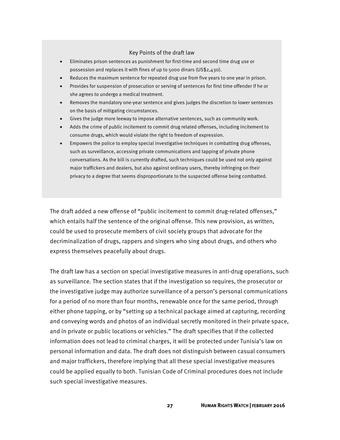#### Key Points of the draft law

- Eliminates prison sentences as punishment for first-time and second time drug use or possession and replaces it with fines of up to 5000 dinars (US\$2,430).
- Reduces the maximum sentence for repeated drug use from five years to one year in prison.
- Provides for suspension of prosecution or serving of sentences for first time offender if he or she agrees to undergo a medical treatment.
- Removes the mandatory one-year sentence and gives judges the discretion to lower sentences on the basis of mitigating circumstances.
- Gives the judge more leeway to impose alternative sentences, such as community work.
- Adds the crime of public incitement to commit drug related offenses, including incitement to consume drugs, which would violate the right to freedom of expression.
- Empowers the police to employ special investigative techniques in combatting drug offenses, such as surveillance, accessing private communications and tapping of private phone conversations. As the bill is currently drafted, such techniques could be used not only against major traffickers and dealers, but also against ordinary users, thereby infringing on their privacy to a degree that seems disproportionate to the suspected offense being combatted.

The draft added a new offense of "public incitement to commit drug-related offenses," which entails half the sentence of the original offense. This new provision, as written, could be used to prosecute members of civil society groups that advocate for the decriminalization of drugs, rappers and singers who sing about drugs, and others who express themselves peacefully about drugs.

The draft law has a section on special investigative measures in anti-drug operations, such as surveillance. The section states that if the investigation so requires, the prosecutor or the investigative judge may authorize surveillance of a person's personal communications for a period of no more than four months, renewable once for the same period, through either phone tapping, or by "setting up a technical package aimed at capturing, recording and conveying words and photos of an individual secretly monitored in their private space, and in private or public locations or vehicles." The draft specifies that if the collected information does not lead to criminal charges, it will be protected under Tunisia's law on personal information and data. The draft does not distinguish between casual consumers and major traffickers, therefore implying that all these special investigative measures could be applied equally to both. Tunisian Code of Criminal procedures does not include such special investigative measures.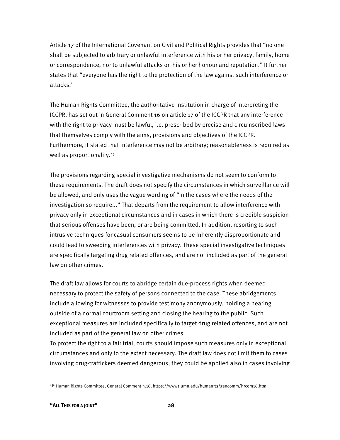Article 17 of the International Covenant on Civil and Political Rights provides that "no one shall be subjected to arbitrary or unlawful interference with his or her privacy, family, home or correspondence, nor to unlawful attacks on his or her honour and reputation." It further states that "everyone has the right to the protection of the law against such interference or attacks."

The Human Rights Committee, the authoritative institution in charge of interpreting the ICCPR, has set out in General Comment 16 on article 17 of the ICCPR that any interference with the right to privacy must be lawful, i.e. prescribed by precise and circumscribed laws that themselves comply with the aims, provisions and objectives of the ICCPR. Furthermore, it stated that interference may not be arbitrary; reasonableness is required as well as proportionality.49

The provisions regarding special investigative mechanisms do not seem to conform to these requirements. The draft does not specify the circumstances in which surveillance will be allowed, and only uses the vague wording of "in the cases where the needs of the investigation so require..." That departs from the requirement to allow interference with privacy only in exceptional circumstances and in cases in which there is credible suspicion that serious offenses have been, or are being committed. In addition, resorting to such intrusive techniques for casual consumers seems to be inherently disproportionate and could lead to sweeping interferences with privacy. These special investigative techniques are specifically targeting drug related offences, and are not included as part of the general law on other crimes.

The draft law allows for courts to abridge certain due-process rights when deemed necessary to protect the safety of persons connected to the case. These abridgements include allowing for witnesses to provide testimony anonymously, holding a hearing outside of a normal courtroom setting and closing the hearing to the public. Such exceptional measures are included specifically to target drug related offences, and are not included as part of the general law on other crimes.

To protect the right to a fair trial, courts should impose such measures only in exceptional circumstances and only to the extent necessary. The draft law does not limit them to cases involving drug-traffickers deemed dangerous; they could be applied also in cases involving

<sup>49.</sup> Human Rights Committee, General Comment n.16, https://www1.umn.edu/humanrts/gencomm/hrcom16.htm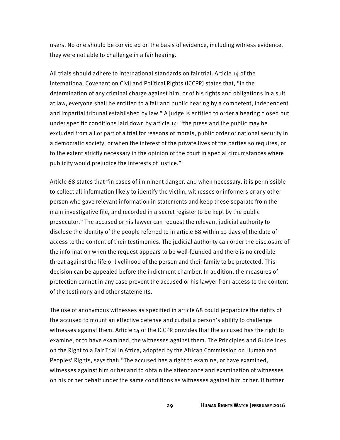users. No one should be convicted on the basis of evidence, including witness evidence, they were not able to challenge in a fair hearing.

All trials should adhere to international standards on fair trial. Article 14 of the International Covenant on Civil and Political Rights (ICCPR) states that, "in the determination of any criminal charge against him, or of his rights and obligations in a suit at law, everyone shall be entitled to a fair and public hearing by a competent, independent and impartial tribunal established by law." A judge is entitled to order a hearing closed but under specific conditions laid down by article 14: "the press and the public may be excluded from all or part of a trial for reasons of morals, public order or national security in a democratic society, or when the interest of the private lives of the parties so requires, or to the extent strictly necessary in the opinion of the court in special circumstances where publicity would prejudice the interests of justice."

Article 68 states that "in cases of imminent danger, and when necessary, it is permissible to collect all information likely to identify the victim, witnesses or informers or any other person who gave relevant information in statements and keep these separate from the main investigative file, and recorded in a secret register to be kept by the public prosecutor." The accused or his lawyer can request the relevant judicial authority to disclose the identity of the people referred to in article 68 within 10 days of the date of access to the content of their testimonies. The judicial authority can order the disclosure of the information when the request appears to be well-founded and there is no credible threat against the life or livelihood of the person and their family to be protected. This decision can be appealed before the indictment chamber. In addition, the measures of protection cannot in any case prevent the accused or his lawyer from access to the content of the testimony and other statements.

The use of anonymous witnesses as specified in article 68 could jeopardize the rights of the accused to mount an effective defense and curtail a person's ability to challenge witnesses against them. Article 14 of the ICCPR provides that the accused has the right to examine, or to have examined, the witnesses against them. The Principles and Guidelines on the Right to a Fair Trial in Africa, adopted by the African Commission on Human and Peoples' Rights, says that: "The accused has a right to examine, or have examined, witnesses against him or her and to obtain the attendance and examination of witnesses on his or her behalf under the same conditions as witnesses against him or her. It further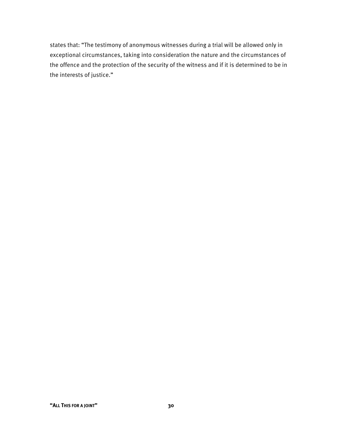states that: "The testimony of anonymous witnesses during a trial will be allowed only in exceptional circumstances, taking into consideration the nature and the circumstances of the offence and the protection of the security of the witness and if it is determined to be in the interests of justice."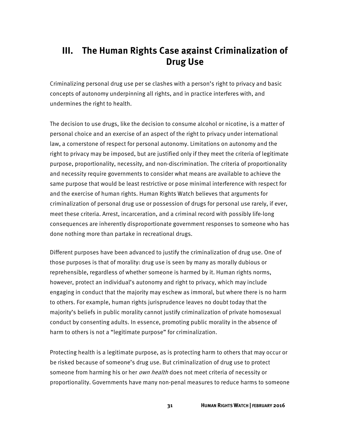## **III. The Human Rights Case against Criminalization of Drug Use**

Criminalizing personal drug use per se clashes with a person's right to privacy and basic concepts of autonomy underpinning all rights, and in practice interferes with, and undermines the right to health.

The decision to use drugs, like the decision to consume alcohol or nicotine, is a matter of personal choice and an exercise of an aspect of the right to privacy under international law, a cornerstone of respect for personal autonomy. Limitations on autonomy and the right to privacy may be imposed, but are justified only if they meet the criteria of legitimate purpose, proportionality, necessity, and non-discrimination. The criteria of proportionality and necessity require governments to consider what means are available to achieve the same purpose that would be least restrictive or pose minimal interference with respect for and the exercise of human rights. Human Rights Watch believes that arguments for criminalization of personal drug use or possession of drugs for personal use rarely, if ever, meet these criteria. Arrest, incarceration, and a criminal record with possibly life-long consequences are inherently disproportionate government responses to someone who has done nothing more than partake in recreational drugs.

Different purposes have been advanced to justify the criminalization of drug use. One of those purposes is that of morality: drug use is seen by many as morally dubious or reprehensible, regardless of whether someone is harmed by it. Human rights norms, however, protect an individual's autonomy and right to privacy, which may include engaging in conduct that the majority may eschew as immoral, but where there is no harm to others. For example, human rights jurisprudence leaves no doubt today that the majority's beliefs in public morality cannot justify criminalization of private homosexual conduct by consenting adults. In essence, promoting public morality in the absence of harm to others is not a "legitimate purpose" for criminalization.

Protecting health is a legitimate purpose, as is protecting harm to others that may occur or be risked because of someone's drug use. But criminalization of drug use to protect someone from harming his or her *own health* does not meet criteria of necessity or proportionality. Governments have many non-penal measures to reduce harms to someone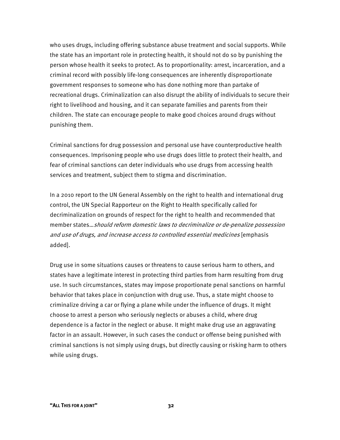who uses drugs, including offering substance abuse treatment and social supports. While the state has an important role in protecting health, it should not do so by punishing the person whose health it seeks to protect. As to proportionality: arrest, incarceration, and a criminal record with possibly life-long consequences are inherently disproportionate government responses to someone who has done nothing more than partake of recreational drugs. Criminalization can also disrupt the ability of individuals to secure their right to livelihood and housing, and it can separate families and parents from their children. The state can encourage people to make good choices around drugs without punishing them.

Criminal sanctions for drug possession and personal use have counterproductive health consequences. Imprisoning people who use drugs does little to protect their health, and fear of criminal sanctions can deter individuals who use drugs from accessing health services and treatment, subject them to stigma and discrimination.

In a 2010 report to the UN General Assembly on the right to health and international drug control, the UN Special Rapporteur on the Right to Health specifically called for decriminalization on grounds of respect for the right to health and recommended that member states…should reform domestic laws to decriminalize or de-penalize possession and use of drugs, and increase access to controlled essential medicines [emphasis added].

Drug use in some situations causes or threatens to cause serious harm to others, and states have a legitimate interest in protecting third parties from harm resulting from drug use. In such circumstances, states may impose proportionate penal sanctions on harmful behavior that takes place in conjunction with drug use. Thus, a state might choose to criminalize driving a car or flying a plane while under the influence of drugs. It might choose to arrest a person who seriously neglects or abuses a child, where drug dependence is a factor in the neglect or abuse. It might make drug use an aggravating factor in an assault. However, in such cases the conduct or offense being punished with criminal sanctions is not simply using drugs, but directly causing or risking harm to others while using drugs.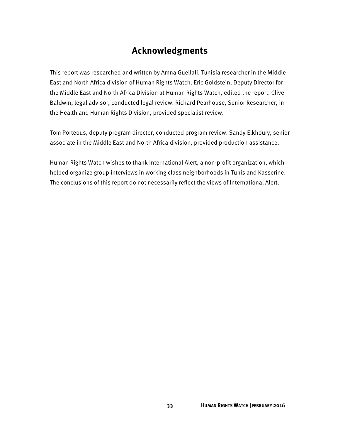## **Acknowledgments**

This report was researched and written by Amna Guellali, Tunisia researcher in the Middle East and North Africa division of Human Rights Watch. Eric Goldstein, Deputy Director for the Middle East and North Africa Division at Human Rights Watch, edited the report. Clive Baldwin, legal advisor, conducted legal review. Richard Pearhouse, Senior Researcher, in the Health and Human Rights Division, provided specialist review.

Tom Porteous, deputy program director, conducted program review. Sandy Elkhoury, senior associate in the Middle East and North Africa division, provided production assistance.

Human Rights Watch wishes to thank International Alert, a non-profit organization, which helped organize group interviews in working class neighborhoods in Tunis and Kasserine. The conclusions of this report do not necessarily reflect the views of International Alert.